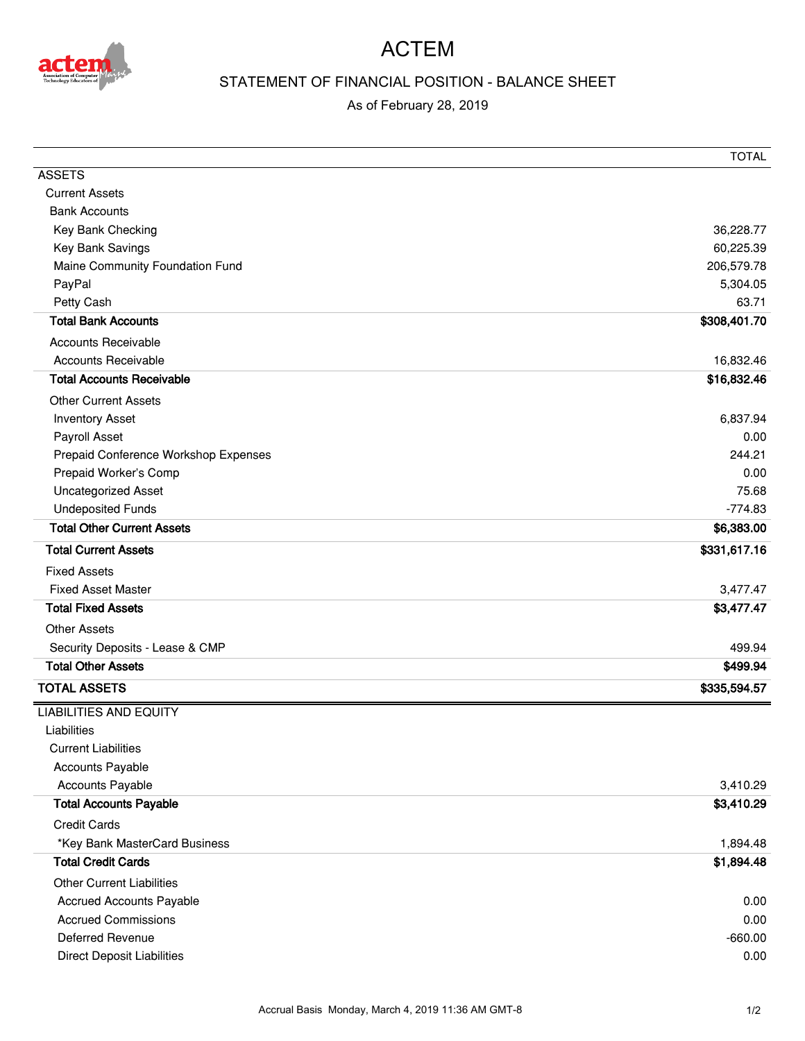

## ACTEM

## STATEMENT OF FINANCIAL POSITION - BALANCE SHEET

## As of February 28, 2019

|                                      | <b>TOTAL</b> |
|--------------------------------------|--------------|
| <b>ASSETS</b>                        |              |
| <b>Current Assets</b>                |              |
| <b>Bank Accounts</b>                 |              |
| Key Bank Checking                    | 36,228.77    |
| Key Bank Savings                     | 60,225.39    |
| Maine Community Foundation Fund      | 206,579.78   |
| PayPal                               | 5,304.05     |
| Petty Cash                           | 63.71        |
| <b>Total Bank Accounts</b>           | \$308,401.70 |
| <b>Accounts Receivable</b>           |              |
| <b>Accounts Receivable</b>           | 16,832.46    |
| <b>Total Accounts Receivable</b>     | \$16,832.46  |
| <b>Other Current Assets</b>          |              |
| <b>Inventory Asset</b>               | 6,837.94     |
| Payroll Asset                        | 0.00         |
| Prepaid Conference Workshop Expenses | 244.21       |
| Prepaid Worker's Comp                | 0.00         |
| Uncategorized Asset                  | 75.68        |
| <b>Undeposited Funds</b>             | $-774.83$    |
| <b>Total Other Current Assets</b>    | \$6,383.00   |
| <b>Total Current Assets</b>          | \$331,617.16 |
| <b>Fixed Assets</b>                  |              |
| <b>Fixed Asset Master</b>            | 3,477.47     |
| <b>Total Fixed Assets</b>            | \$3,477.47   |
| <b>Other Assets</b>                  |              |
| Security Deposits - Lease & CMP      | 499.94       |
| <b>Total Other Assets</b>            | \$499.94     |
| <b>TOTAL ASSETS</b>                  | \$335,594.57 |
| <b>LIABILITIES AND EQUITY</b>        |              |
| Liabilities                          |              |
| <b>Current Liabilities</b>           |              |
| <b>Accounts Payable</b>              |              |
| <b>Accounts Payable</b>              | 3,410.29     |
| <b>Total Accounts Payable</b>        | \$3,410.29   |
| <b>Credit Cards</b>                  |              |
| *Key Bank MasterCard Business        | 1,894.48     |
| <b>Total Credit Cards</b>            | \$1,894.48   |
| <b>Other Current Liabilities</b>     |              |
| <b>Accrued Accounts Payable</b>      | 0.00         |
| <b>Accrued Commissions</b>           | 0.00         |
| <b>Deferred Revenue</b>              | $-660.00$    |
| <b>Direct Deposit Liabilities</b>    | 0.00         |